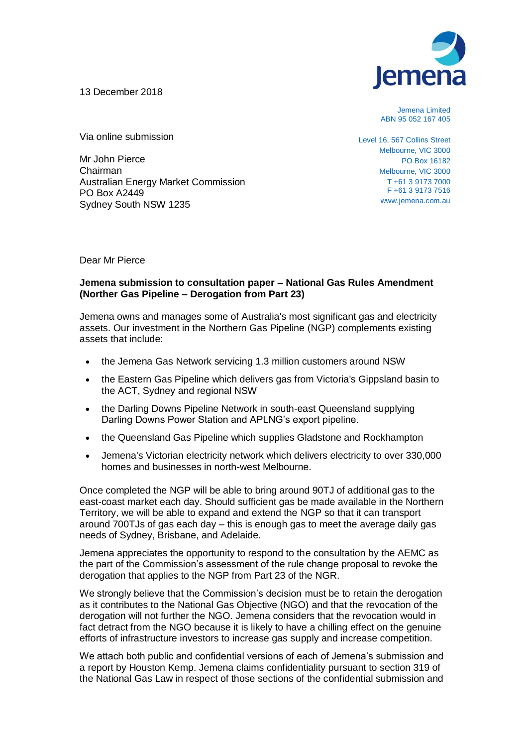13 December 2018



Jemena Limited ABN 95 052 167 405

Via online submission

Mr John Pierce Chairman Australian Energy Market Commission PO Box A2449 Sydney South NSW 1235

Level 16, 567 Collins Street Melbourne, VIC 3000 PO Box 16182 Melbourne, VIC 3000 T +61 3 9173 7000 F +61 3 9173 7516 www.jemena.com.au

Dear Mr Pierce

## **Jemena submission to consultation paper – National Gas Rules Amendment (Norther Gas Pipeline – Derogation from Part 23)**

Jemena owns and manages some of Australia's most significant gas and electricity assets. Our investment in the Northern Gas Pipeline (NGP) complements existing assets that include:

- the Jemena Gas Network servicing 1.3 million customers around NSW
- the Eastern Gas Pipeline which delivers gas from Victoria's Gippsland basin to the ACT, Sydney and regional NSW
- the Darling Downs Pipeline Network in south-east Queensland supplying Darling Downs Power Station and APLNG's export pipeline.
- the Queensland Gas Pipeline which supplies Gladstone and Rockhampton
- Jemena's Victorian electricity network which delivers electricity to over 330,000 homes and businesses in north-west Melbourne.

Once completed the NGP will be able to bring around 90TJ of additional gas to the east-coast market each day. Should sufficient gas be made available in the Northern Territory, we will be able to expand and extend the NGP so that it can transport around 700TJs of gas each day – this is enough gas to meet the average daily gas needs of Sydney, Brisbane, and Adelaide.

Jemena appreciates the opportunity to respond to the consultation by the AEMC as the part of the Commission's assessment of the rule change proposal to revoke the derogation that applies to the NGP from Part 23 of the NGR.

We strongly believe that the Commission's decision must be to retain the derogation as it contributes to the National Gas Objective (NGO) and that the revocation of the derogation will not further the NGO. Jemena considers that the revocation would in fact detract from the NGO because it is likely to have a chilling effect on the genuine efforts of infrastructure investors to increase gas supply and increase competition.

We attach both public and confidential versions of each of Jemena's submission and a report by Houston Kemp. Jemena claims confidentiality pursuant to section 319 of the National Gas Law in respect of those sections of the confidential submission and